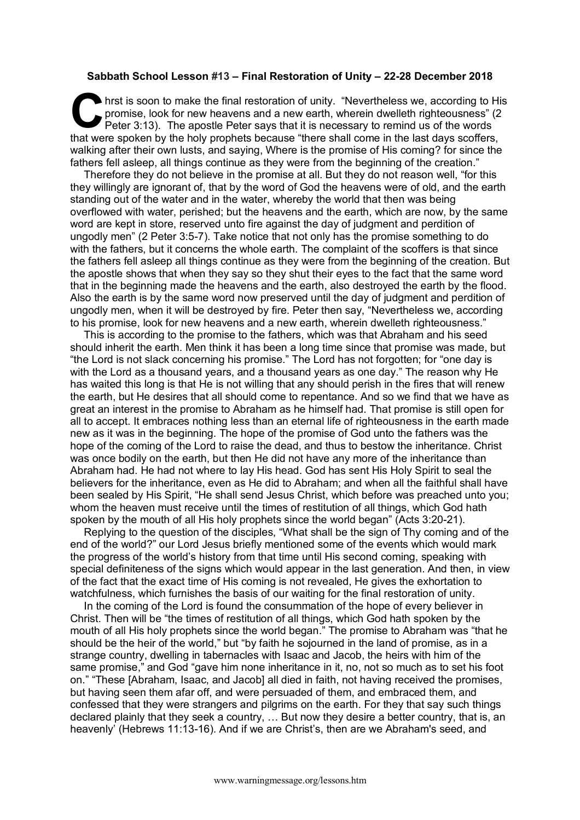## **Sabbath School Lesson #13 – Final Restoration of Unity – 22-28 December 2018**

hrst is soon to make the final restoration of unity. "Nevertheless we, according to His promise, look for new heavens and a new earth, wherein dwelleth righteousness" (2 Peter 3:13). The apostle Peter says that it is necessary to remind us of the words that were spoken by the holy prophets because "there shall come in the last days scoffers, walking after their own lusts, and saying, Where is the promise of His coming? for since the fathers fell asleep, all things continue as they were from the beginning of the creation." **C** hrs<br>Pe

Therefore they do not believe in the promise at all. But they do not reason well, "for this they willingly are ignorant of, that by the word of God the heavens were of old, and the earth standing out of the water and in the water, whereby the world that then was being overflowed with water, perished; but the heavens and the earth, which are now, by the same word are kept in store, reserved unto fire against the day of judgment and perdition of ungodly men" (2 Peter 3:5-7). Take notice that not only has the promise something to do with the fathers, but it concerns the whole earth. The complaint of the scoffers is that since the fathers fell asleep all things continue as they were from the beginning of the creation. But the apostle shows that when they say so they shut their eyes to the fact that the same word that in the beginning made the heavens and the earth, also destroyed the earth by the flood. Also the earth is by the same word now preserved until the day of judgment and perdition of ungodly men, when it will be destroyed by fire. Peter then say, "Nevertheless we, according to his promise, look for new heavens and a new earth, wherein dwelleth righteousness."

This is according to the promise to the fathers, which was that Abraham and his seed should inherit the earth. Men think it has been a long time since that promise was made, but "the Lord is not slack concerning his promise." The Lord has not forgotten; for "one day is with the Lord as a thousand years, and a thousand years as one day." The reason why He has waited this long is that He is not willing that any should perish in the fires that will renew the earth, but He desires that all should come to repentance. And so we find that we have as great an interest in the promise to Abraham as he himself had. That promise is still open for all to accept. It embraces nothing less than an eternal life of righteousness in the earth made new as it was in the beginning. The hope of the promise of God unto the fathers was the hope of the coming of the Lord to raise the dead, and thus to bestow the inheritance. Christ was once bodily on the earth, but then He did not have any more of the inheritance than Abraham had. He had not where to lay His head. God has sent His Holy Spirit to seal the believers for the inheritance, even as He did to Abraham; and when all the faithful shall have been sealed by His Spirit, "He shall send Jesus Christ, which before was preached unto you; whom the heaven must receive until the times of restitution of all things, which God hath spoken by the mouth of all His holy prophets since the world began" (Acts 3:20-21).

Replying to the question of the disciples, "What shall be the sign of Thy coming and of the end of the world?" our Lord Jesus briefly mentioned some of the events which would mark the progress of the world's history from that time until His second coming, speaking with special definiteness of the signs which would appear in the last generation. And then, in view of the fact that the exact time of His coming is not revealed, He gives the exhortation to watchfulness, which furnishes the basis of our waiting for the final restoration of unity.

In the coming of the Lord is found the consummation of the hope of every believer in Christ. Then will be "the times of restitution of all things, which God hath spoken by the mouth of all His holy prophets since the world began." The promise to Abraham was "that he should be the heir of the world," but "by faith he sojourned in the land of promise, as in a strange country, dwelling in tabernacles with Isaac and Jacob, the heirs with him of the same promise," and God "gave him none inheritance in it, no, not so much as to set his foot on." "These [Abraham, Isaac, and Jacob] all died in faith, not having received the promises, but having seen them afar off, and were persuaded of them, and embraced them, and confessed that they were strangers and pilgrims on the earth. For they that say such things declared plainly that they seek a country, … But now they desire a better country, that is, an heavenly' (Hebrews 11:13-16). And if we are Christ's, then are we Abraham's seed, and